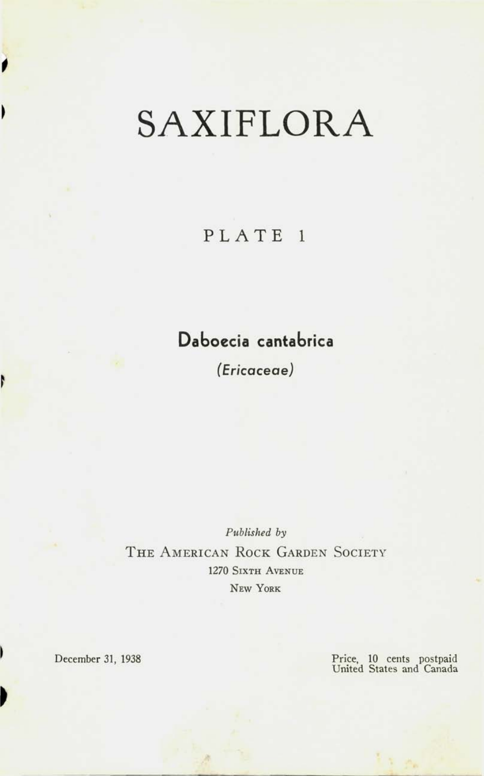# SAXIFLORA

## PLATE<sub>1</sub>

# **Daboecia cantabrica**

*(Ericaceae)* 

*Published by*  THE AMERICAN ROCK GARDEN SOCIETY 1270 SIXTH AVENUE **NEW YORK** 

' December **31, 1938** 

**>** 

*t* 

1

N

Price, **10** cents postpaid United States and Canada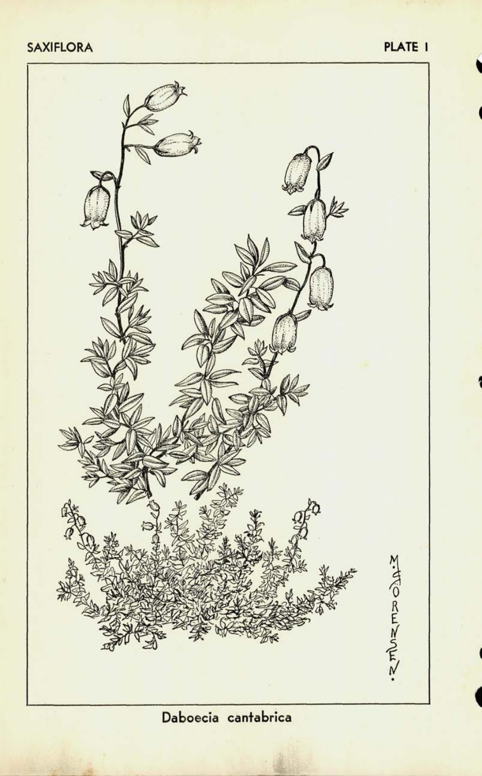#### **SAXIFLORA** PLATE I

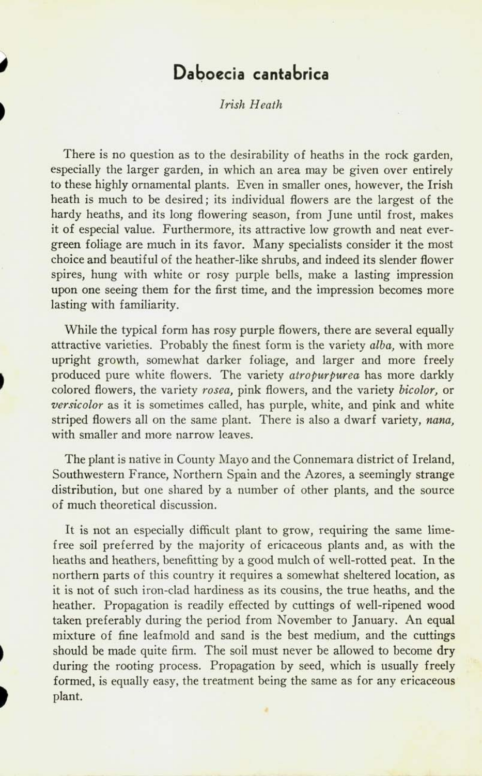### **Daboecia cantabrica**

*Irish Heath* 

There is no question as to the desirability of heaths in the rock garden, especially the larger garden, in which an area may be given over entirely to these highly ornamental plants. Even in smaller ones, however, the Irish heath is much to be desired; its individual flowers are the largest of the hardy heaths, and its long flowering season, from June until frost, makes it of especial value. Furthermore, its attractive low growth and neat evergreen foliage are much in its favor. Many specialists consider it the most choice and beautiful of the heather-like shrubs, and indeed its slender flower spires, hung with white or rosy purple bells, make a lasting impression upon one seeing them for the first time, and the impression becomes more lasting with familiarity.

While the typical form has rosy purple flowers, there are several equally attractive varieties. Probably the finest form is the variety *alba,* with more upright growth, somewhat darker foliage, and larger and more freely produced pure white flowers. The variety *atropurpurea* has more darkly colored flowers, the variety *rosea,* pink flowers, and the variety *bicolor,* or *versicolor* as it is sometimes called, has purple, white, and pink and white striped flowers all on the same plant. There is also a dwarf variety, *nana,*  with smaller and more narrow leaves.

The plant is native in County Mayo and the Connemara district of Ireland, Southwestern France, Northern Spain and the Azores, a seemingly strange distribution, but one shared by a number of other plants, and the source of much theoretical discussion.

It is not an especially difficult plant to grow, requiring the same limefree soil preferred by the majority of ericaceous plants and, as with the heaths and heathers, benefitting by a good mulch of well-rotted peat. In the northern parts of this country it requires a somewhat sheltered location, as it is not of such iron-clad hardiness as its cousins, the true heaths, and the heather. Propagation is readily effected by cuttings of well-ripened wood taken preferably during the period from November to January. An equal mixture of fine leafmold and sand is the best medium, and the cuttings should be made quite firm. The soil must never be allowed to become dry during the rooting process. Propagation by seed, which is usually freely formed, is equally easy, the treatment being the same as for any ericaceous plant.